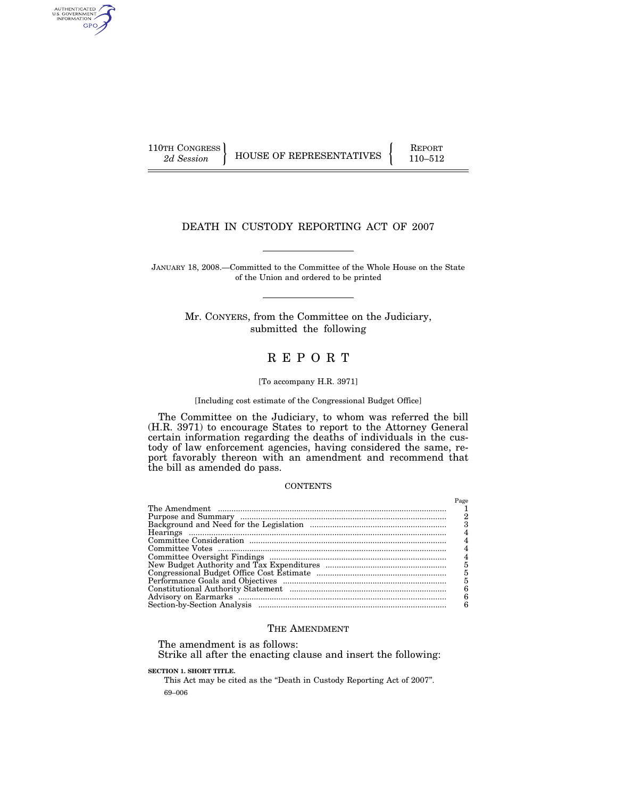110TH CONGRESS  $\Big|$   $\Big|$   $\Big|$   $\Big|$   $\Big|$   $\Big|$   $\Big|$   $\Big|$  REPORT

AUTHENTICATED<br>U.S. GOVERNMENT<br>INFORMATION GPO

2d Session **FEDELA** HOUSE OF REPRESENTATIVES 110-512

# DEATH IN CUSTODY REPORTING ACT OF 2007

JANUARY 18, 2008.—Committed to the Committee of the Whole House on the State of the Union and ordered to be printed

> Mr. CONYERS, from the Committee on the Judiciary, submitted the following

# R E P O R T

# [To accompany H.R. 3971]

#### [Including cost estimate of the Congressional Budget Office]

The Committee on the Judiciary, to whom was referred the bill (H.R. 3971) to encourage States to report to the Attorney General certain information regarding the deaths of individuals in the custody of law enforcement agencies, having considered the same, report favorably thereon with an amendment and recommend that the bill as amended do pass.

# **CONTENTS**

| Page |
|------|
|      |
| 2    |
|      |
| 4    |
| 4    |
| 4    |
| 4    |
| 5    |
| 5    |
| 5    |
| 6    |
| 6    |
|      |

# THE AMENDMENT

The amendment is as follows:

Strike all after the enacting clause and insert the following:

**SECTION 1. SHORT TITLE.** 

69–006 This Act may be cited as the "Death in Custody Reporting Act of 2007".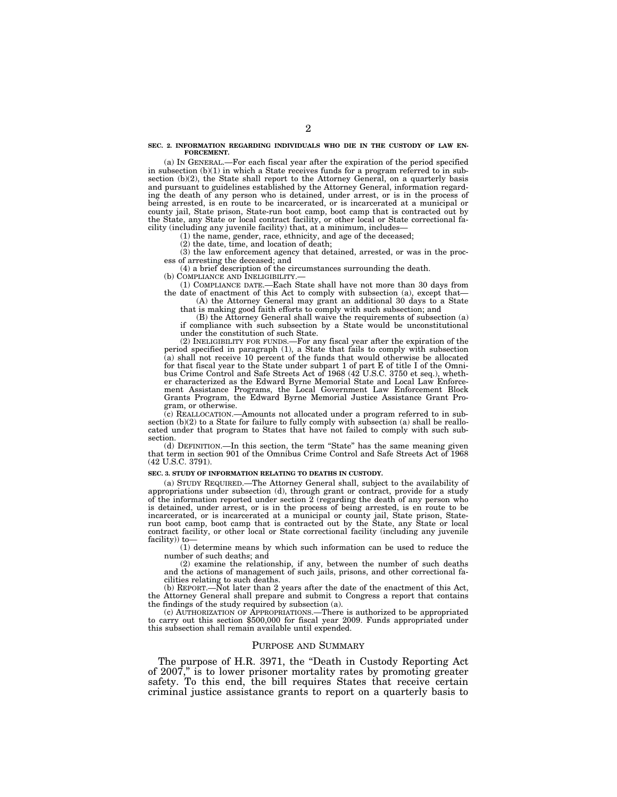#### **SEC. 2. INFORMATION REGARDING INDIVIDUALS WHO DIE IN THE CUSTODY OF LAW EN-FORCEMENT.**

(a) IN GENERAL.—For each fiscal year after the expiration of the period specified in subsection (b)(1) in which a State receives funds for a program referred to in subsection (b)(2), the State shall report to the Attorney General, on a quarterly basis and pursuant to guidelines established by the Attorney General, information regarding the death of any person who is detained, under arrest, or is in the process of being arrested, is en route to be incarcerated, or is incarcerated at a municipal or county jail, State prison, State-run boot camp, boot camp that is contracted out by the State, any State or local contract facility, or other local or State correctional facility (including any juvenile facility) that, at a minimum, includes—

(1) the name, gender, race, ethnicity, and age of the deceased;

(2) the date, time, and location of death;

(3) the law enforcement agency that detained, arrested, or was in the process of arresting the deceased; and

(4) a brief description of the circumstances surrounding the death.

(b) COMPLIANCE AND INELIGIBILITY.-

(1) COMPLIANCE DATE.—Each State shall have not more than 30 days from the date of enactment of this Act to comply with subsection (a), except that—

(A) the Attorney General may grant an additional 30 days to a State that is making good faith efforts to comply with such subsection; and

(B) the Attorney General shall waive the requirements of subsection (a) if compliance with such subsection by a State would be unconstitutional under the constitution of such State.

(2) INELIGIBILITY FOR FUNDS.—For any fiscal year after the expiration of the period specified in paragraph (1), a State that fails to comply with subsection (a) shall not receive 10 percent of the funds that would otherwise be allocated for that fiscal year to the State under subpart 1 of part E of title I of the Omnibus Crime Control and Safe Streets Act of 1968 (42 U.S.C. 3750 et seq.), whether characterized as the Edward Byrne Memorial State and Local Law Enforcement Assistance Programs, the Local Government Law Enforcement Block Grants Program, the Edward Byrne Memorial Justice Assistance Grant Program, or otherwise.

(c) REALLOCATION.—Amounts not allocated under a program referred to in subsection  $(b)(2)$  to a State for failure to fully comply with subsection (a) shall be reallocated under that program to States that have not failed to comply with such subsection.<br>(d) DEFINITION.-

In this section, the term "State" has the same meaning given that term in section 901 of the Omnibus Crime Control and Safe Streets Act of 1968 (42 U.S.C. 3791).

#### **SEC. 3. STUDY OF INFORMATION RELATING TO DEATHS IN CUSTODY.**

(a) STUDY REQUIRED.—The Attorney General shall, subject to the availability of appropriations under subsection (d), through grant or contract, provide for a study of the information reported under section 2 (regarding the death of any person who is detained, under arrest, or is in the process of being arrested, is en route to be incarcerated, or is incarcerated at a municipal or county jail, State prison, Staterun boot camp, boot camp that is contracted out by the State, any State or local contract facility, or other local or State correctional facility (including any juvenile facility)) to—

(1) determine means by which such information can be used to reduce the number of such deaths; and

(2) examine the relationship, if any, between the number of such deaths and the actions of management of such jails, prisons, and other correctional facilities relating to such deaths.

(b) REPORT.—Not later than 2 years after the date of the enactment of this Act, the Attorney General shall prepare and submit to Congress a report that contains the findings of the study required by subsection (a).

(c) AUTHORIZATION OF APPROPRIATIONS.—There is authorized to be appropriated to carry out this section \$500,000 for fiscal year 2009. Funds appropriated under this subsection shall remain available until expended.

## PURPOSE AND SUMMARY

The purpose of H.R. 3971, the "Death in Custody Reporting Act" of 2007,'' is to lower prisoner mortality rates by promoting greater safety. To this end, the bill requires States that receive certain criminal justice assistance grants to report on a quarterly basis to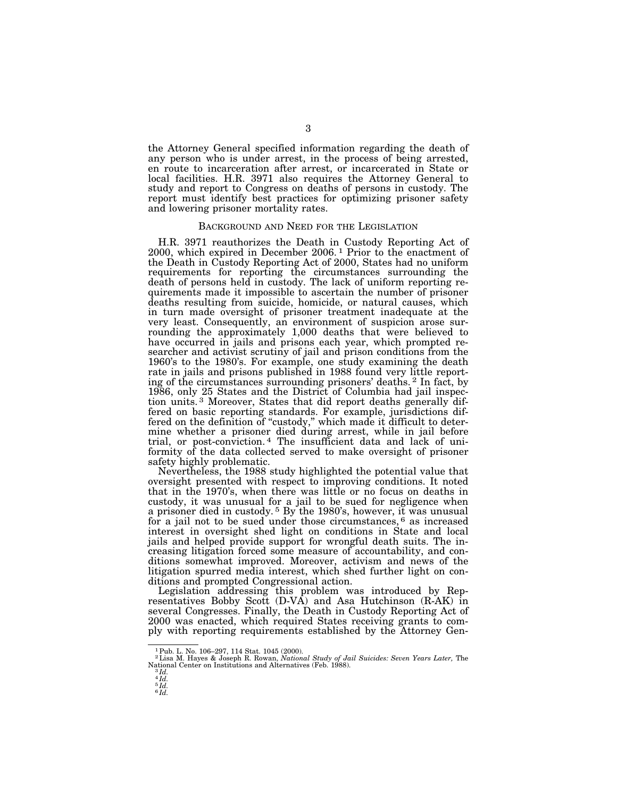the Attorney General specified information regarding the death of any person who is under arrest, in the process of being arrested, en route to incarceration after arrest, or incarcerated in State or local facilities. H.R. 3971 also requires the Attorney General to study and report to Congress on deaths of persons in custody. The report must identify best practices for optimizing prisoner safety and lowering prisoner mortality rates.

# BACKGROUND AND NEED FOR THE LEGISLATION

H.R. 3971 reauthorizes the Death in Custody Reporting Act of 2000, which expired in December 2006. 1 Prior to the enactment of the Death in Custody Reporting Act of 2000, States had no uniform requirements for reporting the circumstances surrounding the death of persons held in custody. The lack of uniform reporting requirements made it impossible to ascertain the number of prisoner deaths resulting from suicide, homicide, or natural causes, which in turn made oversight of prisoner treatment inadequate at the very least. Consequently, an environment of suspicion arose surrounding the approximately 1,000 deaths that were believed to have occurred in jails and prisons each year, which prompted researcher and activist scrutiny of jail and prison conditions from the 1960's to the 1980's. For example, one study examining the death rate in jails and prisons published in 1988 found very little reporting of the circumstances surrounding prisoners' deaths. 2 In fact, by 1986, only 25 States and the District of Columbia had jail inspection units. 3 Moreover, States that did report deaths generally differed on basic reporting standards. For example, jurisdictions differed on the definition of ''custody,'' which made it difficult to determine whether a prisoner died during arrest, while in jail before trial, or post-conviction. 4 The insufficient data and lack of uniformity of the data collected served to make oversight of prisoner safety highly problematic.

Nevertheless, the 1988 study highlighted the potential value that oversight presented with respect to improving conditions. It noted that in the 1970's, when there was little or no focus on deaths in custody, it was unusual for a jail to be sued for negligence when a prisoner died in custody. 5 By the 1980's, however, it was unusual for a jail not to be sued under those circumstances, 6 as increased interest in oversight shed light on conditions in State and local jails and helped provide support for wrongful death suits. The increasing litigation forced some measure of accountability, and conditions somewhat improved. Moreover, activism and news of the litigation spurred media interest, which shed further light on conditions and prompted Congressional action.

Legislation addressing this problem was introduced by Representatives Bobby Scott (D-VA) and Asa Hutchinson (R-AK) in several Congresses. Finally, the Death in Custody Reporting Act of 2000 was enacted, which required States receiving grants to comply with reporting requirements established by the Attorney Gen-

<sup>&</sup>lt;sup>1</sup> Pub. L. No. 106–297, 114 Stat. 1045 (2000).<br><sup>2</sup> Lisa M. Hayes & Joseph R. Rowan, *National Study of Jail Suicides: Seven Years Later, T*he National Center on Institutions and Alternatives (Feb. 1988). 3 *Id.* 

<sup>4</sup> *Id.*  5 *Id.*  6 *Id.*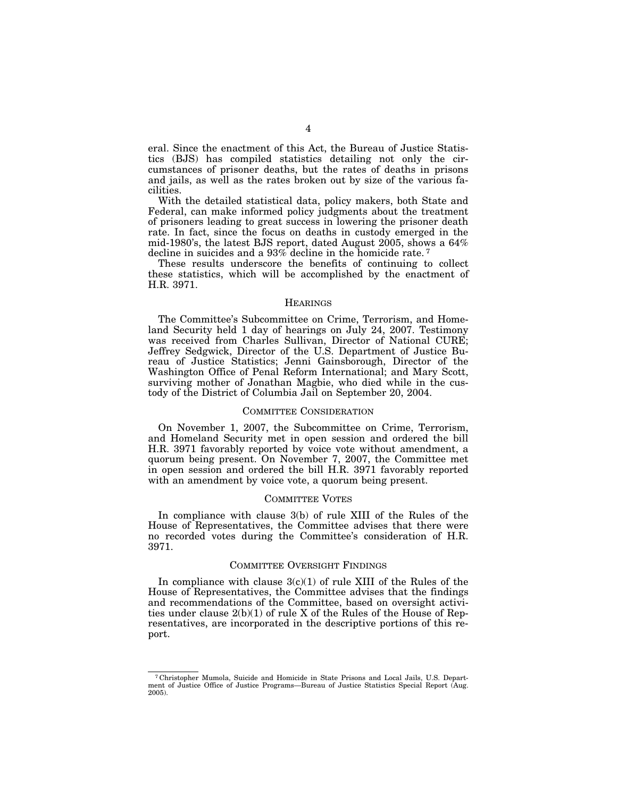eral. Since the enactment of this Act, the Bureau of Justice Statistics (BJS) has compiled statistics detailing not only the circumstances of prisoner deaths, but the rates of deaths in prisons and jails, as well as the rates broken out by size of the various facilities.

With the detailed statistical data, policy makers, both State and Federal, can make informed policy judgments about the treatment of prisoners leading to great success in lowering the prisoner death rate. In fact, since the focus on deaths in custody emerged in the mid-1980's, the latest BJS report, dated August 2005, shows a 64% decline in suicides and a 93% decline in the homicide rate. 7

These results underscore the benefits of continuing to collect these statistics, which will be accomplished by the enactment of H.R. 3971.

# **HEARINGS**

The Committee's Subcommittee on Crime, Terrorism, and Homeland Security held 1 day of hearings on July 24, 2007. Testimony was received from Charles Sullivan, Director of National CURE; Jeffrey Sedgwick, Director of the U.S. Department of Justice Bureau of Justice Statistics; Jenni Gainsborough, Director of the Washington Office of Penal Reform International; and Mary Scott, surviving mother of Jonathan Magbie, who died while in the custody of the District of Columbia Jail on September 20, 2004.

# COMMITTEE CONSIDERATION

On November 1, 2007, the Subcommittee on Crime, Terrorism, and Homeland Security met in open session and ordered the bill H.R. 3971 favorably reported by voice vote without amendment, a quorum being present. On November 7, 2007, the Committee met in open session and ordered the bill H.R. 3971 favorably reported with an amendment by voice vote, a quorum being present.

# COMMITTEE VOTES

In compliance with clause 3(b) of rule XIII of the Rules of the House of Representatives, the Committee advises that there were no recorded votes during the Committee's consideration of H.R. 3971.

# COMMITTEE OVERSIGHT FINDINGS

In compliance with clause  $3(c)(1)$  of rule XIII of the Rules of the House of Representatives, the Committee advises that the findings and recommendations of the Committee, based on oversight activities under clause 2(b)(1) of rule X of the Rules of the House of Representatives, are incorporated in the descriptive portions of this report.

<sup>7</sup> Christopher Mumola, Suicide and Homicide in State Prisons and Local Jails, U.S. Department of Justice Office of Justice Programs—Bureau of Justice Statistics Special Report (Aug. 2005).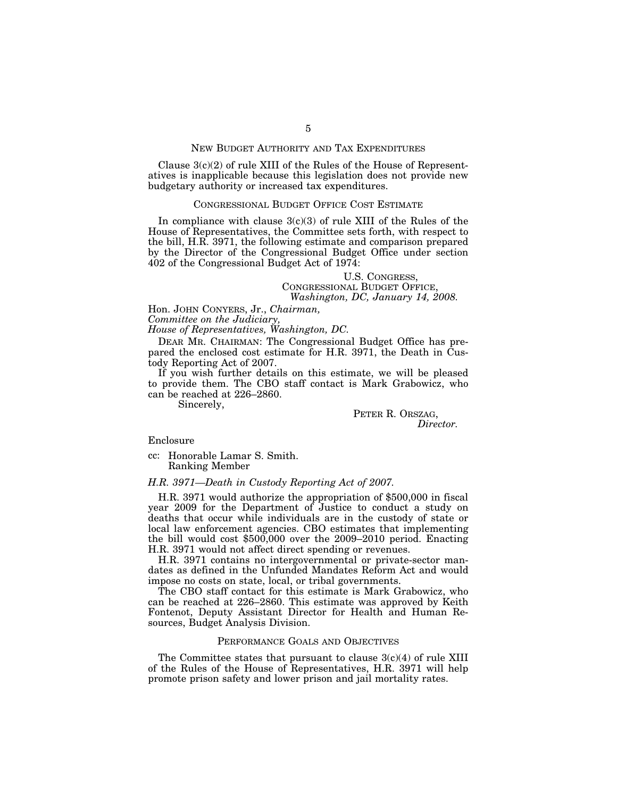# NEW BUDGET AUTHORITY AND TAX EXPENDITURES

Clause  $3(c)(2)$  of rule XIII of the Rules of the House of Representatives is inapplicable because this legislation does not provide new budgetary authority or increased tax expenditures.

# CONGRESSIONAL BUDGET OFFICE COST ESTIMATE

In compliance with clause  $3(c)(3)$  of rule XIII of the Rules of the House of Representatives, the Committee sets forth, with respect to the bill, H.R. 3971, the following estimate and comparison prepared by the Director of the Congressional Budget Office under section 402 of the Congressional Budget Act of 1974:

# U.S. CONGRESS,<br>CONGRESSIONAL BUDGET OFFICE. *Washington, DC, January 14, 2008.*

Hon. JOHN CONYERS, Jr., *Chairman,* 

*Committee on the Judiciary,* 

*House of Representatives, Washington, DC.* 

DEAR MR. CHAIRMAN: The Congressional Budget Office has prepared the enclosed cost estimate for H.R. 3971, the Death in Custody Reporting Act of 2007.

If you wish further details on this estimate, we will be pleased to provide them. The CBO staff contact is Mark Grabowicz, who can be reached at 226–2860.

Sincerely,

PETER R. ORSZAG, *Director.* 

Enclosure

cc: Honorable Lamar S. Smith. Ranking Member

# *H.R. 3971—Death in Custody Reporting Act of 2007.*

H.R. 3971 would authorize the appropriation of \$500,000 in fiscal year 2009 for the Department of Justice to conduct a study on deaths that occur while individuals are in the custody of state or local law enforcement agencies. CBO estimates that implementing the bill would cost \$500,000 over the 2009–2010 period. Enacting H.R. 3971 would not affect direct spending or revenues.

H.R. 3971 contains no intergovernmental or private-sector mandates as defined in the Unfunded Mandates Reform Act and would impose no costs on state, local, or tribal governments.

The CBO staff contact for this estimate is Mark Grabowicz, who can be reached at 226–2860. This estimate was approved by Keith Fontenot, Deputy Assistant Director for Health and Human Resources, Budget Analysis Division.

# PERFORMANCE GOALS AND OBJECTIVES

The Committee states that pursuant to clause  $3(c)(4)$  of rule XIII of the Rules of the House of Representatives, H.R. 3971 will help promote prison safety and lower prison and jail mortality rates.